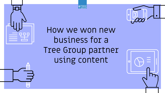





## How we won new business for a Tree Group partner using content

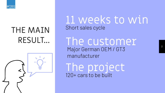

### THE MAIN RESULT...

### 11 weeks to win Short sales cycle

The customer Major German OEM / GT3 manufacturer

The project 120+ cars to be built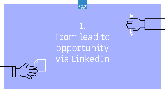

## 1. From lead to opportunity via LinkedIn

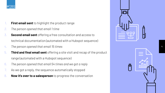

- 1. **First email sent** to highlight the product range
- *2. The person opened that email 1 time*
- 3. **Second email sent** offering a free consultation and access to technical documentation (automated with a Hubspot sequence)
- 4. *The person opened that email 15 times*
- 5. **Third and final email sent** offering a site visit and recap of the product range (automated with a Hubspot sequence)
- 6. *The person opened that email 54 times and we got a reply*
- 7. As we got a reply, the sequence automatically stopped
- 8. **Now it's over to a salesperson** to progress the conversation



4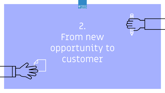



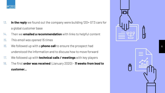

- 13. **In the reply** we found out the company were building 120+ GT3 cars for a global customer base
- 14. Then we **emailed a recommendation** with links to helpful content
- *15. This email was opened 15 times*
- *16.* We followed up with a **phone call** to ensure the prospect had understood the information and to discuss how to move forward
- 17. We followed up with **technical calls / meetings** with key players
- 18. The first **order was received** (January 2020) *11 weeks from lead to customer...*

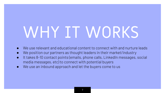# WHY IT WORKS

- We use relevant and educational content to connect with and nurture leads
- We position our partners as thought leaders in their market/industry
- It takes 8-10 contact points (emails, phone calls, LinkedIn messages, social media messages, etc) to connect with potential buyers
- We use an inbound approach and let the buyers come to us